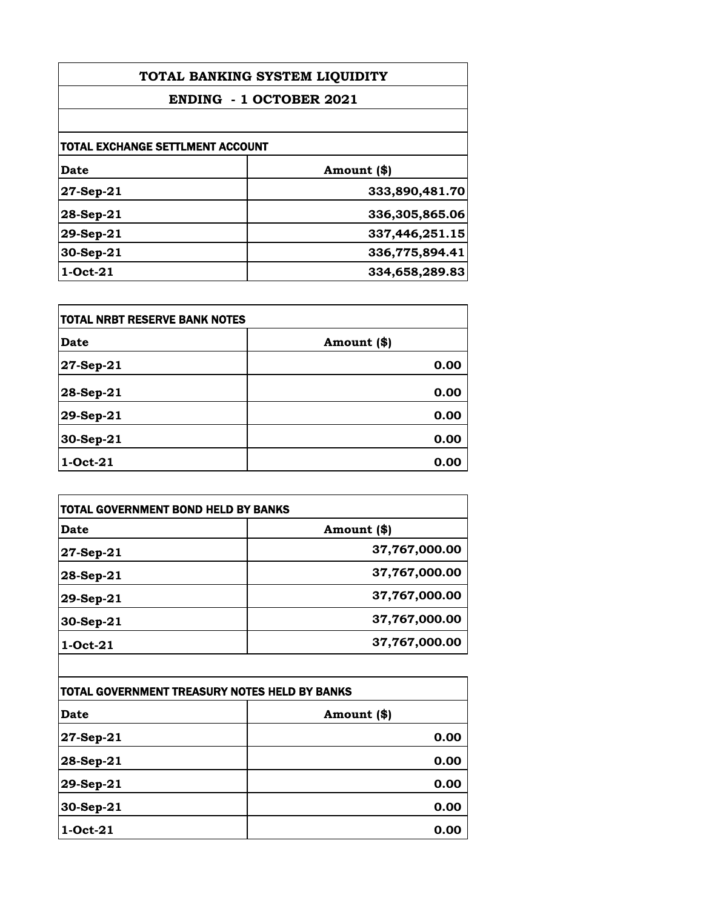| TOTAL BANKING SYSTEM LIQUIDITY<br><b>ENDING - 1 OCTOBER 2021</b> |                |
|------------------------------------------------------------------|----------------|
|                                                                  |                |
| <b>TOTAL EXCHANGE SETTLMENT ACCOUNT</b>                          |                |
| Date                                                             | Amount (\$)    |
| 27-Sep-21                                                        | 333,890,481.70 |
| $28-Sep-21$                                                      | 336,305,865.06 |
| $29-Sep-21$                                                      | 337,446,251.15 |
| 30-Sep-21                                                        | 336,775,894.41 |
| 1-Oct-21                                                         | 334,658,289.83 |

| <b>TOTAL NRBT RESERVE BANK NOTES</b> |             |
|--------------------------------------|-------------|
| <b>Date</b>                          | Amount (\$) |
| 27-Sep-21                            | 0.00        |
| 28-Sep-21                            | 0.00        |
| 29-Sep-21                            | 0.00        |
| 30-Sep-21                            | 0.00        |
| 1-Oct-21                             | 0.00        |

| Date        | Amount (\$)   |
|-------------|---------------|
| 27-Sep-21   | 37,767,000.00 |
| $28-Sep-21$ | 37,767,000.00 |
| 29-Sep-21   | 37,767,000.00 |
| 30-Sep-21   | 37,767,000.00 |
| $1-Oct-21$  | 37,767,000.00 |

| TOTAL GOVERNMENT TREASURY NOTES HELD BY BANKS |             |
|-----------------------------------------------|-------------|
| <b>Date</b>                                   | Amount (\$) |
| 27-Sep-21                                     | 0.00        |
| 28-Sep-21                                     | 0.00        |
| 29-Sep-21                                     | 0.00        |
| 30-Sep-21                                     | 0.00        |
| 1-Oct-21                                      | 0.00        |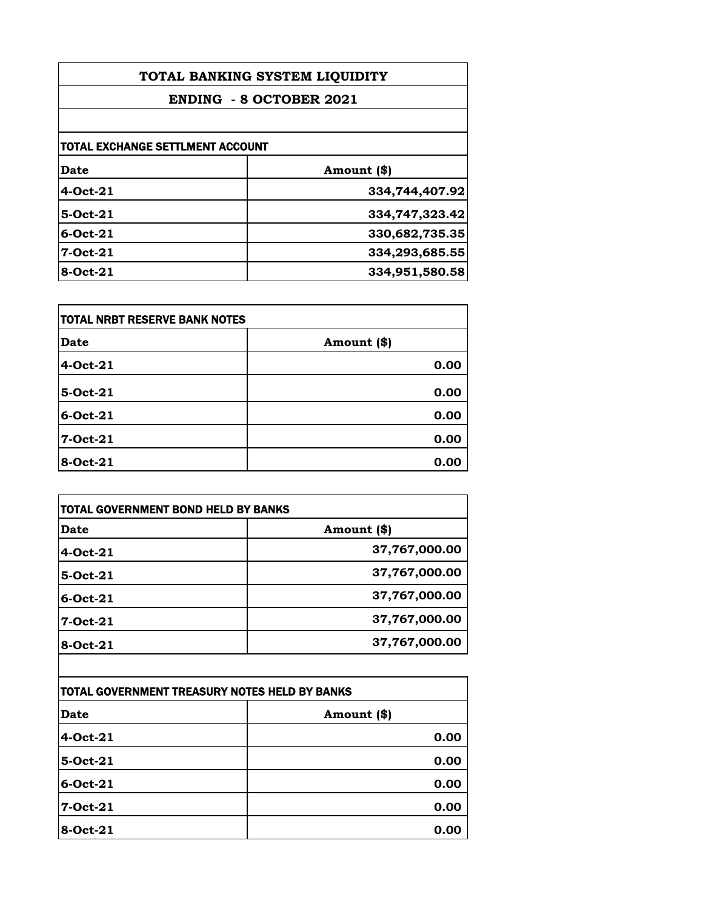| TOTAL BANKING SYSTEM LIQUIDITY<br><b>ENDING - 8 OCTOBER 2021</b> |                |
|------------------------------------------------------------------|----------------|
|                                                                  |                |
| TOTAL EXCHANGE SETTLMENT ACCOUNT                                 |                |
| Date                                                             | Amount (\$)    |
| 4-Oct-21                                                         | 334,744,407.92 |
| $5-Oct-21$                                                       | 334,747,323.42 |
| $6$ -Oct-21                                                      | 330,682,735.35 |
| 7-Oct-21                                                         | 334,293,685.55 |
| 8-Oct-21                                                         | 334,951,580.58 |

| <b>TOTAL NRBT RESERVE BANK NOTES</b> |             |
|--------------------------------------|-------------|
| <b>Date</b>                          | Amount (\$) |
| 4-Oct-21                             | 0.00        |
| 5-Oct-21                             | 0.00        |
| 6-Oct-21                             | 0.00        |
| 7-Oct-21                             | 0.00        |
| 8-Oct-21                             | 0.00        |

| Date           | Amount (\$)   |
|----------------|---------------|
| 4-Oct-21       | 37,767,000.00 |
| 5-Oct-21       | 37,767,000.00 |
| $6$ -Oct- $21$ | 37,767,000.00 |
| 7-Oct-21       | 37,767,000.00 |
| 8-Oct-21       | 37,767,000.00 |

| ITOTAL GOVERNMENT TREASURY NOTES HELD BY BANKS |             |
|------------------------------------------------|-------------|
| <b>Date</b>                                    | Amount (\$) |
| 4-Oct-21                                       | 0.00        |
| 5-Oct-21                                       | 0.00        |
| 6-Oct-21                                       | 0.00        |
| 7-Oct-21                                       | 0.00        |
| 8-Oct-21                                       | 0.00        |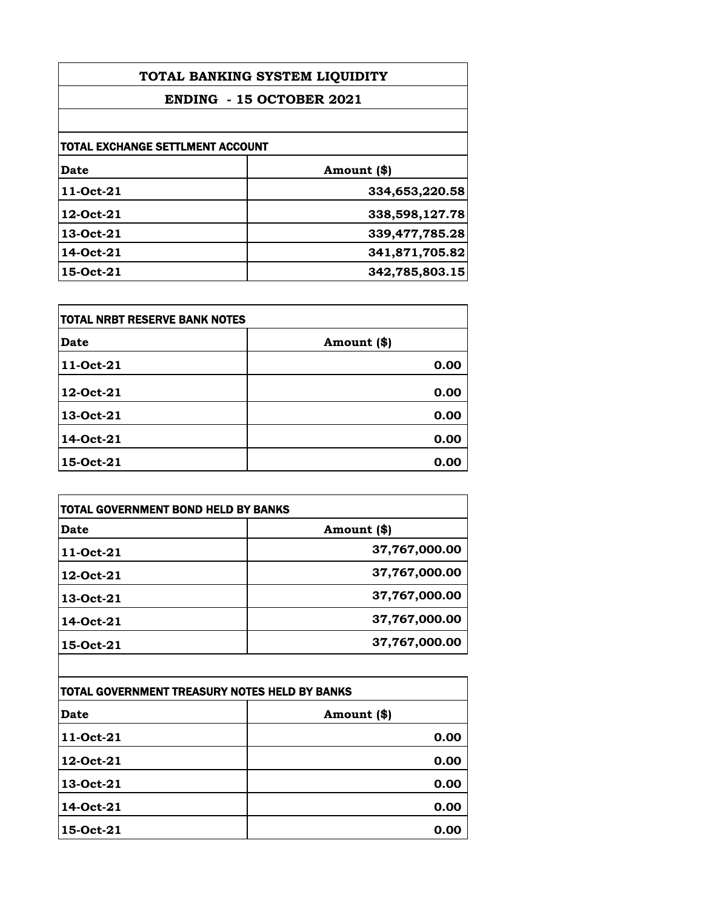| TOTAL BANKING SYSTEM LIQUIDITY   |                |
|----------------------------------|----------------|
| <b>ENDING - 15 OCTOBER 2021</b>  |                |
|                                  |                |
| TOTAL EXCHANGE SETTLMENT ACCOUNT |                |
| <b>Date</b>                      | Amount (\$)    |
| 11-Oct-21                        | 334,653,220.58 |
| 12-Oct-21                        | 338,598,127.78 |
| 13-Oct-21                        | 339,477,785.28 |
| 14-Oct-21                        | 341,871,705.82 |
| 15-Oct-21                        | 342,785,803.15 |

| <b>TOTAL NRBT RESERVE BANK NOTES</b> |             |
|--------------------------------------|-------------|
| <b>Date</b>                          | Amount (\$) |
| 11-Oct-21                            | 0.00        |
| 12-Oct-21                            | 0.00        |
| 13-Oct-21                            | 0.00        |
| 14-Oct-21                            | 0.00        |
| 15-Oct-21                            | 0.00        |

| <b>TOTAL GOVERNMENT BOND HELD BY BANKS</b> |               |
|--------------------------------------------|---------------|
| Date                                       | Amount (\$)   |
| 11-Oct-21                                  | 37,767,000.00 |
| 12-Oct-21                                  | 37,767,000.00 |
| 13-Oct-21                                  | 37,767,000.00 |
| 14-Oct-21                                  | 37,767,000.00 |
| 15-Oct-21                                  | 37,767,000.00 |
|                                            |               |

| TOTAL GOVERNMENT TREASURY NOTES HELD BY BANKS |             |
|-----------------------------------------------|-------------|
| <b>Date</b>                                   | Amount (\$) |
| 11-Oct-21                                     | 0.00        |
| 12-Oct-21                                     | 0.00        |
| 13-Oct-21                                     | 0.00        |
| 14-Oct-21                                     | 0.00        |
| 15-Oct-21                                     | 0.00        |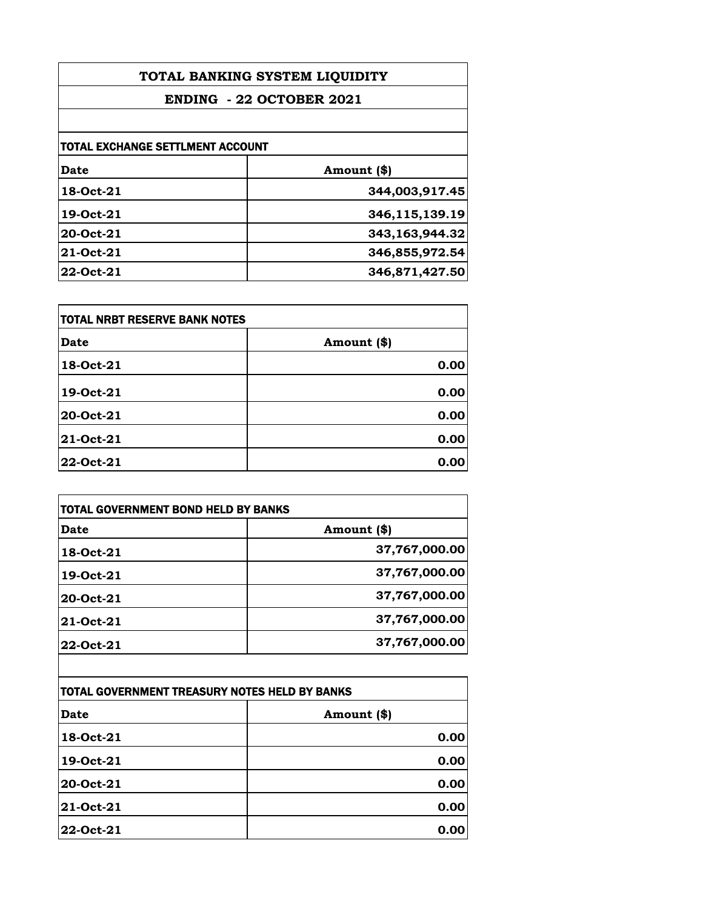| TOTAL BANKING SYSTEM LIQUIDITY   |                |
|----------------------------------|----------------|
| <b>ENDING - 22 OCTOBER 2021</b>  |                |
|                                  |                |
| TOTAL EXCHANGE SETTLMENT ACCOUNT |                |
| <b>Date</b>                      | Amount (\$)    |
| 18-Oct-21                        | 344,003,917.45 |
| 19-Oct-21                        | 346,115,139.19 |
| 20-Oct-21                        | 343,163,944.32 |
| 21-Oct-21                        | 346,855,972.54 |
| 22-Oct-21                        | 346,871,427.50 |

| <b>TOTAL NRBT RESERVE BANK NOTES</b> |             |
|--------------------------------------|-------------|
| <b>Date</b>                          | Amount (\$) |
| 18-Oct-21                            | 0.00        |
| 19-Oct-21                            | 0.00        |
| 20-Oct-21                            | 0.00        |
| 21-Oct-21                            | 0.00        |
| 22-Oct-21                            | 0.00        |

| <b>TOTAL GOVERNMENT BOND HELD BY BANKS</b> |               |
|--------------------------------------------|---------------|
| Date                                       | Amount (\$)   |
| 18-Oct-21                                  | 37,767,000.00 |
| 19-Oct-21                                  | 37,767,000.00 |
| 20-Oct-21                                  | 37,767,000.00 |
| 21-Oct-21                                  | 37,767,000.00 |
| 22-Oct-21                                  | 37,767,000.00 |
|                                            |               |

| TOTAL GOVERNMENT TREASURY NOTES HELD BY BANKS |             |
|-----------------------------------------------|-------------|
| <b>Date</b>                                   | Amount (\$) |
| 18-Oct-21                                     | 0.00        |
| 19-Oct-21                                     | 0.00        |
| 20-Oct-21                                     | 0.00        |
| <b>21-Oct-21</b>                              | 0.00        |
| 22-Oct-21                                     | 0.00        |